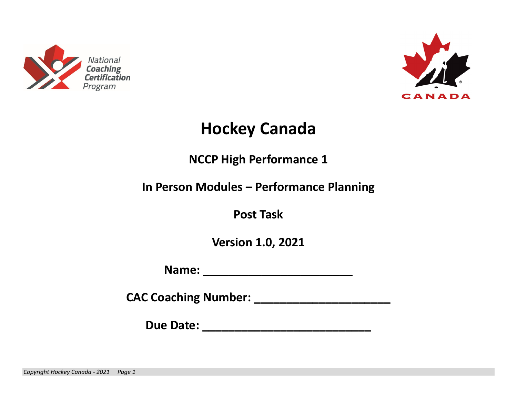



## **Hockey Canada**

**NCCP High Performance 1** 

**In Person Modules – Performance Planning** 

**Post Task** 

**Version 1.0, 2021** 

**Name: \_\_\_\_\_\_\_\_\_\_\_\_\_\_\_\_\_\_\_\_\_\_\_** 

**CAC Coaching Number: \_\_\_\_\_\_\_\_\_\_\_\_\_\_\_\_\_\_\_\_\_** 

**Due Date: \_\_\_\_\_\_\_\_\_\_\_\_\_\_\_\_\_\_\_\_\_\_\_\_\_\_**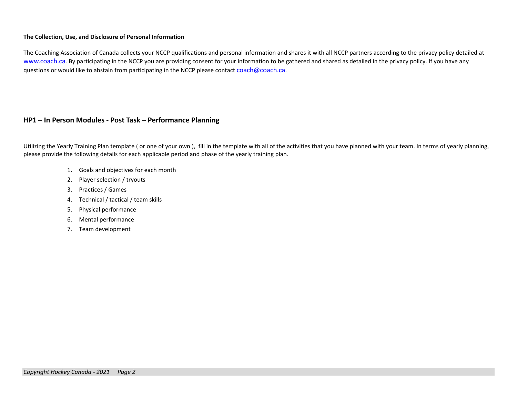## **The Collection, Use, and Disclosure of Personal Information**

The Coaching Association of Canada collects your NCCP qualifications and personal information and shares it with all NCCP partners according to the privacy policy detailed at www.coach.ca. By participating in the NCCP you are providing consent for your information to be gathered and shared as detailed in the privacy policy. If you have any questions or would like to abstain from participating in the NCCP please contact coach@coach.ca.

## **HP1 – In Person Modules ‐ Post Task – Performance Planning**

Utilizing the Yearly Training Plan template (or one of your own), fill in the template with all of the activities that you have planned with your team. In terms of yearly planning, please provide the following details for each applicable period and phase of the yearly training plan.

- 1. Goals and objectives for each month
- 2. Player selection / tryouts
- 3. Practices / Games
- 4. Technical / tactical / team skills
- 5. Physical performance
- 6. Mental performance
- 7. Team development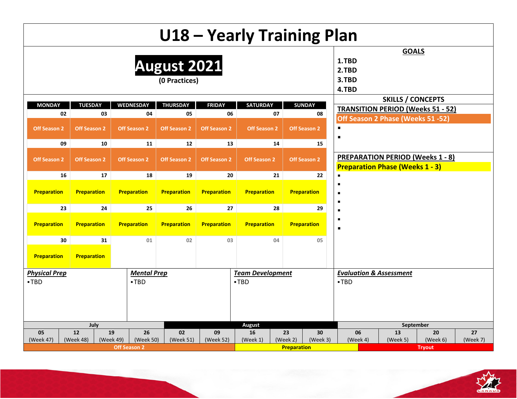|        |                      |                     |                        | U18 - Yearly Training Plan   |                     |                                                    |                |                     |                                                                                   |                          |               |          |
|--------|----------------------|---------------------|------------------------|------------------------------|---------------------|----------------------------------------------------|----------------|---------------------|-----------------------------------------------------------------------------------|--------------------------|---------------|----------|
|        |                      |                     |                        | August 2021<br>(0 Practices) |                     |                                                    |                |                     | 1.TBD<br>2.TBD<br>3.TBD<br>4.TBD                                                  | <b>GOALS</b>             |               |          |
|        | <b>MONDAY</b>        | <b>TUESDAY</b>      | <b>WEDNESDAY</b>       | <b>THURSDAY</b>              | <b>FRIDAY</b>       | <b>SATURDAY</b>                                    |                | <b>SUNDAY</b>       |                                                                                   | <b>SKILLS / CONCEPTS</b> |               |          |
|        | 02                   | 03                  | 04                     | 05                           | 06                  |                                                    | 07             | 08                  | <b>TRANSITION PERIOD (Weeks 51 - 52)</b>                                          |                          |               |          |
|        | <b>Off Season 2</b>  | <b>Off Season 2</b> | <b>Off Season 2</b>    | <b>Off Season 2</b>          | <b>Off Season 2</b> | <b>Off Season 2</b>                                |                | <b>Off Season 2</b> | Off Season 2 Phase (Weeks 51 -52)<br>$\blacksquare$<br>$\blacksquare$             |                          |               |          |
|        | 09                   | 10                  | 11                     | 12                           | 13                  |                                                    | 14             | 15                  |                                                                                   |                          |               |          |
|        | <b>Off Season 2</b>  | <b>Off Season 2</b> | <b>Off Season 2</b>    | <b>Off Season 2</b>          | <b>Off Season 2</b> | <b>Off Season 2</b>                                |                | <b>Off Season 2</b> | <b>PREPARATION PERIOD (Weeks 1 - 8)</b><br><b>Preparation Phase (Weeks 1 - 3)</b> |                          |               |          |
|        | 16                   | 17                  | 18                     | 19                           | 22                  |                                                    |                |                     |                                                                                   |                          |               |          |
|        | <b>Preparation</b>   | <b>Preparation</b>  | <b>Preparation</b>     | <b>Preparation</b>           | <b>Preparation</b>  | $\blacksquare$<br>$\blacksquare$<br>$\blacksquare$ |                |                     |                                                                                   |                          |               |          |
|        | 23                   | 24                  | 25                     | 26                           | 27                  |                                                    | 28             | 29                  | $\blacksquare$                                                                    |                          |               |          |
|        | Preparation          | Preparation         | Preparation            | Preparation                  | <b>Preparation</b>  | <b>Preparation</b>                                 |                | <b>Preparation</b>  | $\blacksquare$<br>$\blacksquare$                                                  |                          |               |          |
|        | 30                   | 31                  | 01                     | 02                           | 03                  |                                                    | 04             | 05                  |                                                                                   |                          |               |          |
|        | Preparation          | Preparation         |                        |                              |                     |                                                    |                |                     |                                                                                   |                          |               |          |
|        | <b>Physical Prep</b> |                     | <b>Mental Prep</b>     |                              |                     | <b>Team Development</b>                            |                |                     | <b>Evaluation &amp; Assessment</b>                                                |                          |               |          |
| $-TBD$ |                      |                     | -TBD                   |                              |                     | -TBD                                               |                |                     | $-TBD$                                                                            |                          |               |          |
|        | 05                   | July<br>12          | 19<br>26               | 02                           | 09                  | <b>August</b><br>16                                |                | 30                  | 06                                                                                | September<br>13          | 20            | 27       |
|        | (Week 47)            | (Week 48)           | (Week 49)<br>(Week 50) | (Week 51)                    | (Week 52)           | (Week 1)                                           | 23<br>(Week 2) | (Week 3)            | (Week 4)                                                                          | (Week 5)                 | (Week 6)      | (Week 7) |
|        |                      |                     | <b>Off Season 2</b>    |                              |                     |                                                    |                | <b>Preparation</b>  |                                                                                   |                          | <b>Tryout</b> |          |

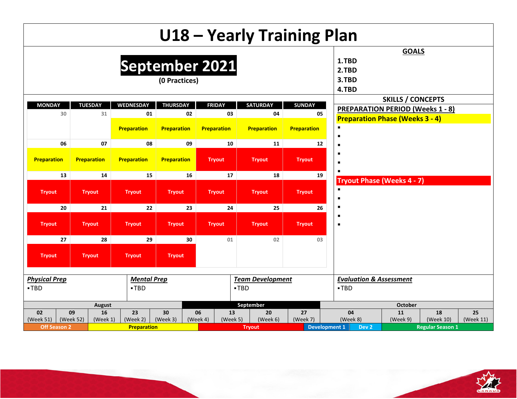|        |                      |                       |                    |                    |          |                    |                         |          |               | U18 - Yearly Training Plan               |                                         |                         |           |
|--------|----------------------|-----------------------|--------------------|--------------------|----------|--------------------|-------------------------|----------|---------------|------------------------------------------|-----------------------------------------|-------------------------|-----------|
|        |                      |                       | September 2021     | (0 Practices)      |          |                    |                         |          |               | 1.TBD<br>2.TBD<br>3.TBD<br>4.TBD         | <b>GOALS</b>                            |                         |           |
|        | <b>MONDAY</b>        | <b>TUESDAY</b>        | <b>WEDNESDAY</b>   | <b>THURSDAY</b>    |          | <b>FRIDAY</b>      | <b>SATURDAY</b>         |          | <b>SUNDAY</b> |                                          | <b>SKILLS / CONCEPTS</b>                |                         |           |
|        | 30                   | 31                    | 01                 |                    | 02       | 03                 |                         | 04       |               | 05                                       | <b>PREPARATION PERIOD (Weeks 1 - 8)</b> |                         |           |
|        |                      |                       | <b>Preparation</b> | Preparation        |          | <b>Preparation</b> | <b>Preparation</b>      |          | Preparation   | $\blacksquare$<br>п                      | <b>Preparation Phase (Weeks 3 - 4)</b>  |                         |           |
|        | 06                   | 07                    | 08                 |                    | 09       | 10                 |                         | 11       |               | 12                                       |                                         |                         |           |
|        | Preparation          | <b>Preparation</b>    | <b>Preparation</b> | <b>Preparation</b> |          | <b>Tryout</b>      | <b>Tryout</b>           |          | <b>Tryout</b> | п<br>п                                   |                                         |                         |           |
|        | 13                   | 14                    | 15                 |                    | 16       | 17                 |                         | 18       |               | 19                                       |                                         |                         |           |
|        | <b>Tryout</b>        | <b>Tryout</b>         | <b>Tryout</b>      | <b>Tryout</b>      |          | <b>Tryout</b>      | <b>Tryout</b>           |          | <b>Tryout</b> | $\blacksquare$<br>$\blacksquare$         | <b>Tryout Phase (Weeks 4 - 7)</b>       |                         |           |
|        | 20                   | 21                    | 22                 |                    | 23       | 24                 |                         | 25       |               | п<br>26                                  |                                         |                         |           |
|        | <b>Tryout</b>        | <b>Tryout</b>         | <b>Tryout</b>      | <b>Tryout</b>      |          | <b>Tryout</b>      | <b>Tryout</b>           |          | <b>Tryout</b> | п<br>п                                   |                                         |                         |           |
|        | 27                   | 28                    | 29                 |                    | 30       | 01                 |                         | 02       |               | 03                                       |                                         |                         |           |
|        | <b>Tryout</b>        | <b>Tryout</b>         | <b>Tryout</b>      | <b>Tryout</b>      |          |                    |                         |          |               |                                          |                                         |                         |           |
|        | <b>Physical Prep</b> |                       | <b>Mental Prep</b> |                    |          |                    | <b>Team Development</b> |          |               |                                          | <b>Evaluation &amp; Assessment</b>      |                         |           |
| $-TBD$ |                      |                       | $-TBD$             |                    |          |                    | $-TBD$                  |          |               | $-TBD$                                   |                                         |                         |           |
|        |                      |                       |                    |                    |          |                    |                         |          |               |                                          |                                         |                         |           |
|        |                      |                       |                    |                    |          |                    | September               |          |               |                                          | <b>October</b>                          |                         |           |
|        | 02                   | August<br>16<br>09    | 23                 | 30                 | 06       | 13                 |                         | 20       | 27            | 04                                       | 11                                      | 18                      | 25        |
|        | (Week 51)            | (Week 52)<br>(Week 1) | (Week 2)           | (Week 3)           | (Week 4) | (Week 5)           |                         | (Week 6) | (Week 7)      | (Week 8)                                 | (Week 9)                                | (Week 10)               | (Week 11) |
|        | <b>Off Season 2</b>  |                       | <b>Preparation</b> |                    |          |                    | <b>Tryout</b>           |          |               | <b>Development 1</b><br>Dev <sub>2</sub> |                                         | <b>Regular Season 1</b> |           |

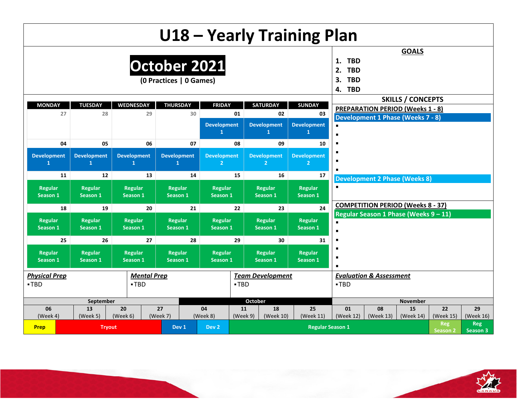|                      |                      |                     |                         |                     |                |                         | U18 - Yearly Training Plan |                  |                                          |                          |                 |                 |
|----------------------|----------------------|---------------------|-------------------------|---------------------|----------------|-------------------------|----------------------------|------------------|------------------------------------------|--------------------------|-----------------|-----------------|
|                      |                      |                     |                         |                     |                |                         |                            |                  |                                          | <b>GOALS</b>             |                 |                 |
|                      |                      |                     | October 2021            |                     |                |                         |                            | <b>TBD</b><br>1. |                                          |                          |                 |                 |
|                      |                      |                     |                         |                     |                |                         |                            | <b>TBD</b><br>2. |                                          |                          |                 |                 |
|                      |                      |                     | (0 Practices   0 Games) |                     |                |                         |                            | <b>TBD</b><br>3. |                                          |                          |                 |                 |
|                      |                      |                     |                         |                     |                |                         |                            | <b>TBD</b><br>4. |                                          |                          |                 |                 |
|                      |                      |                     |                         |                     |                |                         |                            |                  |                                          | <b>SKILLS / CONCEPTS</b> |                 |                 |
| <b>MONDAY</b><br>27  | <b>TUESDAY</b><br>28 | WEDNESDAY<br>29     | <b>THURSDAY</b><br>30   | <b>FRIDAY</b>       | 01             | <b>SATURDAY</b><br>02   | <b>SUNDAY</b><br>03        |                  | <b>PREPARATION PERIOD (Weeks 1 - 8)</b>  |                          |                 |                 |
|                      |                      |                     |                         |                     |                |                         |                            |                  | <b>Development 1 Phase (Weeks 7 - 8)</b> |                          |                 |                 |
|                      |                      |                     |                         | <b>Development</b>  |                | <b>Development</b><br>1 | <b>Development</b>         |                  |                                          |                          |                 |                 |
| 04                   | 05                   | 06                  | 07                      |                     | 08             | 09                      |                            |                  |                                          |                          |                 |                 |
|                      |                      |                     |                         |                     |                |                         | 10                         |                  |                                          |                          |                 |                 |
| <b>Development</b>   | <b>Development</b>   | <b>Development</b>  | <b>Development</b>      | <b>Development</b>  |                | <b>Development</b>      | <b>Development</b>         |                  |                                          |                          |                 |                 |
| $\mathbf{1}$         | 1                    | $\mathbf{1}$        | $\mathbf{1}$            | 2 <sup>1</sup>      |                | 2 <sup>1</sup>          | $\overline{2}$             |                  |                                          |                          |                 |                 |
| 11                   | 12                   | 13                  | 14                      |                     | 15             | 16                      | 17                         |                  | <b>Development 2 Phase (Weeks 8)</b>     |                          |                 |                 |
| Regular              | Regular              | Regular             | <b>Regular</b>          | Regular             |                | Regular                 | <b>Regular</b>             |                  |                                          |                          |                 |                 |
| Season 1             | Season 1             | Season 1            | Season 1                | Season 1            |                | Season 1                | Season 1                   |                  |                                          |                          |                 |                 |
| 18                   | 19                   | 20                  | 21                      |                     | 22             | 23                      | 24                         |                  | <b>COMPETITION PERIOD (Weeks 8 - 37)</b> |                          |                 |                 |
|                      |                      |                     |                         |                     |                |                         |                            |                  | Regular Season 1 Phase (Weeks 9-11)      |                          |                 |                 |
| Regular<br>Season 1  | Regular<br>Season 1  | Regular<br>Season 1 | Regular<br>Season 1     | Regular<br>Season 1 |                | Regular<br>Season 1     | <b>Regular</b><br>Season 1 | $\blacksquare$   |                                          |                          |                 |                 |
|                      |                      |                     |                         |                     |                |                         |                            |                  |                                          |                          |                 |                 |
| 25                   | 26                   | 27                  | 28                      |                     | 29             | 30                      | 31                         |                  |                                          |                          |                 |                 |
| Regular              | Regular              | <b>Regular</b>      | <b>Regular</b>          | Regular             |                | Regular                 | <b>Regular</b>             | п                |                                          |                          |                 |                 |
| Season 1             | Season 1             | Season 1            | Season 1                | Season 1            |                | Season 1                | Season 1                   | $\blacksquare$   |                                          |                          |                 |                 |
| <b>Physical Prep</b> |                      | <b>Mental Prep</b>  |                         |                     |                | <b>Team Development</b> |                            |                  | <b>Evaluation &amp; Assessment</b>       |                          |                 |                 |
| -TBD                 |                      | $-TBD$              |                         |                     | $-TBD$         |                         |                            | $-TBD$           |                                          |                          |                 |                 |
|                      |                      |                     |                         |                     |                |                         |                            |                  |                                          |                          |                 |                 |
|                      | September            |                     |                         |                     |                | <b>October</b>          |                            |                  |                                          | <b>November</b>          |                 |                 |
| 06<br>(Week 4)       | 13<br>(Week 5)       | 20<br>(Week 6)      | 27<br>(Week 7)          | 04<br>(Week 8)      | 11<br>(Week 9) | 18<br>(Week 10)         | 25<br>(Week 11)            | 01<br>(Week 12)  | 08<br>(Week 13)                          | 15<br>(Week 14)          | 22<br>(Week 15) | 29<br>(Week 16) |
|                      |                      |                     |                         |                     |                |                         |                            |                  |                                          |                          | <b>Reg</b>      | <b>Reg</b>      |
| <b>Prep</b>          | <b>Tryout</b>        |                     | Dev <sub>1</sub>        | Dev <sub>2</sub>    |                |                         | <b>Regular Season 1</b>    |                  |                                          |                          | <b>Season 2</b> | Season 3        |

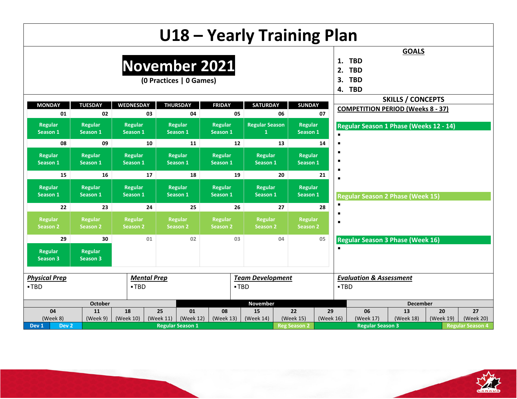|                                      |                                   |                                   | U18 - Yearly Training Plan               |                            |                            |    |                            |                 |                                                                    |                          |                 |                         |
|--------------------------------------|-----------------------------------|-----------------------------------|------------------------------------------|----------------------------|----------------------------|----|----------------------------|-----------------|--------------------------------------------------------------------|--------------------------|-----------------|-------------------------|
|                                      |                                   |                                   | November 2021<br>(0 Practices   0 Games) |                            |                            |    |                            |                 | 1.<br><b>TBD</b><br><b>TBD</b><br>2.<br><b>TBD</b><br>3.<br>4. TBD | <b>GOALS</b>             |                 |                         |
| <b>MONDAY</b>                        | <b>TUESDAY</b>                    | <b>WEDNESDAY</b>                  | <b>THURSDAY</b>                          | <b>FRIDAY</b>              | <b>SATURDAY</b>            |    | <b>SUNDAY</b>              |                 |                                                                    | <b>SKILLS / CONCEPTS</b> |                 |                         |
| 01                                   | 02                                | 03                                | 04                                       |                            | 05                         | 06 |                            | 07              | <b>COMPETITION PERIOD (Weeks 8 - 37)</b>                           |                          |                 |                         |
| Regular<br>Season 1                  | Regular<br>Season 1               | Regular<br>Season 1               | <b>Regular</b><br>Season 1               | Regular<br>Season 1        | <b>Regular Season</b>      |    | <b>Regular</b><br>Season 1 |                 | Regular Season 1 Phase (Weeks 12 - 14)                             |                          |                 |                         |
| 08                                   | 09                                | 10                                | 11                                       |                            | 12                         | 13 |                            | 14              |                                                                    |                          |                 |                         |
| Regular<br>Season 1                  | Regular<br>Season 1               | <b>Regular</b><br>Season 1        | <b>Regular</b><br>Season 1               | Regular<br>Season 1        | <b>Regular</b><br>Season 1 |    | <b>Regular</b><br>Season 1 |                 |                                                                    |                          |                 |                         |
| 15                                   | 16                                | 17                                | 18                                       |                            | 19                         | 20 |                            | 21              |                                                                    |                          |                 |                         |
| Regular<br>Season 1                  | <b>Regular</b><br>Season 1        | <b>Regular</b><br>Season 1        | <b>Regular</b><br>Season 1               | Regular<br>Season 1        | <b>Regular</b><br>Season 1 |    | <b>Regular</b><br>Season 1 |                 | <b>Regular Season 2 Phase (Week 15)</b>                            |                          |                 |                         |
| 22                                   | 23                                | 24                                | 25                                       |                            | 26                         | 27 |                            | 28              | $\blacksquare$                                                     |                          |                 |                         |
| Regular<br>Season 2                  | <b>Regular</b><br><b>Season 2</b> | <b>Regular</b><br><b>Season 2</b> | Regular<br><b>Season 2</b>               | Regular<br><b>Season 2</b> | Regular<br><b>Season 2</b> |    | Regular<br><b>Season 2</b> |                 | $\blacksquare$                                                     |                          |                 |                         |
| 29                                   | 30                                | 01                                | 02                                       |                            | 03                         | 04 |                            | 05              | <b>Regular Season 3 Phase (Week 16)</b>                            |                          |                 |                         |
| Regular<br><b>Season 3</b>           | <b>Regular</b><br>Season 3        |                                   |                                          |                            |                            |    |                            |                 |                                                                    |                          |                 |                         |
| <b>Physical Prep</b>                 |                                   | <b>Mental Prep</b>                |                                          |                            | <b>Team Development</b>    |    |                            |                 | <b>Evaluation &amp; Assessment</b>                                 |                          |                 |                         |
| •TBD                                 |                                   | $-TBD$                            |                                          |                            | $-TBD$                     |    |                            |                 | $-TBD$                                                             |                          |                 |                         |
|                                      | <b>October</b>                    |                                   |                                          |                            | November                   |    |                            |                 |                                                                    | <b>December</b>          |                 |                         |
| 04<br>(Week 8)                       | 11<br>(Week 9)                    | 18<br>(Week 10)                   | 25<br>01<br>(Week 11)<br>(Week 12)       | 08<br>(Week 13)            | 15<br>(Week 14)            |    | 22<br>(Week 15)            | 29<br>(Week 16) | 06<br>(Week 17)                                                    | 13<br>(Week 18)          | 20<br>(Week 19) | 27<br>(Week 20)         |
| Dev <sub>1</sub><br>Dev <sub>2</sub> |                                   |                                   | <b>Regular Season 1</b>                  |                            |                            |    | <b>Reg Season 2</b>        |                 | <b>Regular Season 3</b>                                            |                          |                 | <b>Regular Season 4</b> |

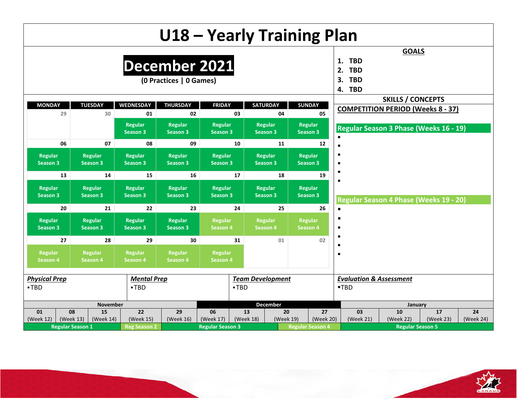|                            |                                                                                        |                                   | U18 - Yearly Training Plan        |                                   |                            |                                   |                                   |           |                                                                    |                                          |           |           |
|----------------------------|----------------------------------------------------------------------------------------|-----------------------------------|-----------------------------------|-----------------------------------|----------------------------|-----------------------------------|-----------------------------------|-----------|--------------------------------------------------------------------|------------------------------------------|-----------|-----------|
|                            |                                                                                        | December 2021                     | (0 Practices   0 Games)           |                                   |                            |                                   |                                   |           | <b>TBD</b><br>1.<br>2.<br><b>TBD</b><br><b>TBD</b><br>3.<br>4. TBD | <b>GOALS</b>                             |           |           |
|                            |                                                                                        |                                   |                                   |                                   |                            |                                   |                                   |           |                                                                    | <b>SKILLS / CONCEPTS</b>                 |           |           |
| <b>MONDAY</b><br>29        | <b>TUESDAY</b><br>30                                                                   | <b>WEDNESDAY</b><br>01            | <b>THURSDAY</b><br>02             | <b>FRIDAY</b>                     | 03                         | <b>SATURDAY</b><br>04             | <b>SUNDAY</b>                     | 05        |                                                                    | <b>COMPETITION PERIOD (Weeks 8 - 37)</b> |           |           |
|                            |                                                                                        | <b>Regular</b><br><b>Season 3</b> | <b>Regular</b><br><b>Season 3</b> | Regular<br><b>Season 3</b>        |                            | Regular<br>Season 3               | Regular<br>Season 3               |           |                                                                    | Regular Season 3 Phase (Weeks 16 - 19)   |           |           |
| 06                         | 07                                                                                     | 08                                | 09                                |                                   | 10                         | 11                                |                                   | 12        |                                                                    |                                          |           |           |
| Regular<br><b>Season 3</b> | <b>Regular</b><br><b>Season 3</b>                                                      | <b>Regular</b><br>Season 3        | <b>Regular</b><br><b>Season 3</b> | Regular<br>Season 3               |                            | <b>Regular</b><br><b>Season 3</b> | <b>Regular</b><br>Season 3        |           | п<br>п                                                             |                                          |           |           |
| 13                         | 14                                                                                     | 15                                | 16                                |                                   | 17                         | 18                                |                                   | 19        |                                                                    |                                          |           |           |
| Regular<br><b>Season 3</b> | <b>Regular</b><br>Season 3                                                             | <b>Regular</b><br>Season 3        | <b>Regular</b><br><b>Season 3</b> | <b>Regular</b><br>Season 3        |                            | <b>Regular</b><br>Season 3        | <b>Regular</b><br><b>Season 3</b> |           | п                                                                  |                                          |           |           |
| 20                         | 21                                                                                     | 22                                | 23                                |                                   | 24                         | 25                                |                                   | 26        | $\blacksquare$                                                     | Regular Season 4 Phase (Weeks 19 - 20)   |           |           |
| Regular<br>Season 3        | Regular<br>Season 3                                                                    | Regular<br>Season 3               | <b>Regular</b><br><b>Season 3</b> | <b>Regular</b><br><b>Season 4</b> |                            | Regular<br>Season 4               | Regular<br>Season 4               |           | п<br>$\blacksquare$                                                |                                          |           |           |
| 27                         | 28                                                                                     | 29                                | 30                                |                                   | 31                         | 01                                |                                   | 02        | п                                                                  |                                          |           |           |
| Regular<br><b>Season 4</b> | <b>Regular</b><br>Regular<br>Regular<br>Season 4<br><b>Season 4</b><br><b>Season 4</b> |                                   |                                   |                                   | <b>Regular</b><br>Season 4 |                                   |                                   |           | $\blacksquare$                                                     |                                          |           |           |
| <b>Physical Prep</b>       |                                                                                        | <b>Mental Prep</b>                |                                   |                                   | <b>Team Development</b>    |                                   |                                   |           | <b>Evaluation &amp; Assessment</b>                                 |                                          |           |           |
| -TBD                       |                                                                                        | $-TBD$                            |                                   |                                   | -TBD                       |                                   |                                   |           | ■TBD                                                               |                                          |           |           |
|                            | <b>November</b>                                                                        |                                   |                                   |                                   |                            | December                          |                                   |           |                                                                    | January                                  |           |           |
| 08<br>01                   | 15                                                                                     | 22                                | 29                                | 06                                | 13                         | 20                                |                                   | 27        | 03                                                                 | 10                                       | 17        | 24        |
| (Week 12)<br>(Week 13)     | (Week 14)                                                                              | (Week 15)                         | (Week 16)                         | (Week 17)                         | (Week 18)                  | (Week 19)                         |                                   | (Week 20) | (Week 21)                                                          | (Week 22)                                | (Week 23) | (Week 24) |
| <b>Regular Season 1</b>    |                                                                                        | <b>Reg Season 2</b>               |                                   | <b>Regular Season 3</b>           |                            |                                   | <b>Regular Season 4</b>           |           |                                                                    | <b>Regular Season 5</b>                  |           |           |

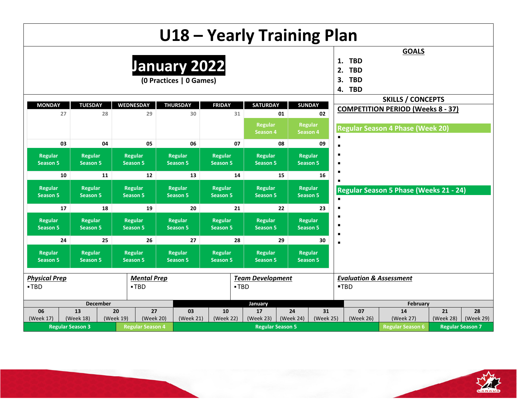|                                   |                                   |                                    | U18 - Yearly Training Plan              |                                   |                                   |                         |                                   |                                                                    |                                          |                 |                         |
|-----------------------------------|-----------------------------------|------------------------------------|-----------------------------------------|-----------------------------------|-----------------------------------|-------------------------|-----------------------------------|--------------------------------------------------------------------|------------------------------------------|-----------------|-------------------------|
|                                   |                                   |                                    | January 2022<br>(0 Practices   0 Games) |                                   |                                   |                         |                                   | <b>TBD</b><br>1.<br>2.<br><b>TBD</b><br><b>TBD</b><br>3.<br>4. TBD | <b>GOALS</b>                             |                 |                         |
|                                   |                                   |                                    |                                         |                                   |                                   |                         |                                   |                                                                    | <b>SKILLS / CONCEPTS</b>                 |                 |                         |
| <b>MONDAY</b><br>27               | <b>TUESDAY</b><br>28              | <b>WEDNESDAY</b><br>29             | <b>THURSDAY</b><br>30                   | <b>FRIDAY</b>                     | <b>SATURDAY</b><br>31             | 01                      | <b>SUNDAY</b><br>02               |                                                                    | <b>COMPETITION PERIOD (Weeks 8 - 37)</b> |                 |                         |
|                                   |                                   |                                    |                                         |                                   | Regular<br><b>Season 4</b>        |                         | Regular<br>Season 4               |                                                                    | <b>Regular Season 4 Phase (Week 20)</b>  |                 |                         |
| 03                                | 04                                | 05                                 | 06                                      |                                   | 07                                | 08                      | 09                                |                                                                    |                                          |                 |                         |
| <b>Regular</b><br><b>Season 5</b> | Regular<br><b>Season 5</b>        | <b>Regular</b><br><b>Season 5</b>  | <b>Regular</b><br><b>Season 5</b>       | Regular<br><b>Season 5</b>        | <b>Regular</b><br><b>Season 5</b> |                         | <b>Regular</b><br><b>Season 5</b> |                                                                    |                                          |                 |                         |
| 10                                | 11                                | 12                                 | 13                                      |                                   | 14                                | 15                      | 16                                |                                                                    |                                          |                 |                         |
| Regular<br><b>Season 5</b>        | Regular<br><b>Season 5</b>        | <b>Regular</b><br><b>Season 5</b>  | Regular<br><b>Season 5</b>              | <b>Regular</b><br><b>Season 5</b> | <b>Regular</b><br><b>Season 5</b> |                         | <b>Regular</b><br><b>Season 5</b> |                                                                    | Regular Season 5 Phase (Weeks 21 - 24)   |                 |                         |
| 17                                | 18                                | 19                                 | 20                                      |                                   | 21                                | 22                      | 23                                |                                                                    |                                          |                 |                         |
| Regular<br><b>Season 5</b>        | <b>Regular</b><br><b>Season 5</b> | <b>Regular</b><br><b>Season 5</b>  | Regular<br><b>Season 5</b>              | <b>Regular</b><br><b>Season 5</b> | <b>Regular</b><br><b>Season 5</b> |                         | <b>Regular</b><br><b>Season 5</b> |                                                                    |                                          |                 |                         |
| 24                                | 25                                | 26                                 | 27                                      |                                   | 28                                | 29                      | 30                                |                                                                    |                                          |                 |                         |
| Regular<br><b>Season 5</b>        | Regular<br>Season 5               | <b>Regular</b><br><b>Season 5</b>  | Regular<br><b>Season 5</b>              | Regular<br><b>Season 5</b>        | <b>Regular</b><br><b>Season 5</b> |                         | <b>Regular</b><br><b>Season 5</b> |                                                                    |                                          |                 |                         |
| <b>Physical Prep</b>              |                                   | <b>Mental Prep</b>                 |                                         |                                   | <b>Team Development</b>           |                         |                                   | <b>Evaluation &amp; Assessment</b>                                 |                                          |                 |                         |
| -TBD                              |                                   | $-TBD$                             |                                         |                                   | -TBD                              |                         |                                   | ■TBD                                                               |                                          |                 |                         |
|                                   | <b>December</b>                   |                                    |                                         |                                   | January                           |                         |                                   |                                                                    | February                                 |                 |                         |
| 06<br>(Week 17)                   | 13<br>(Week 18)                   | 20<br>27<br>(Week 19)<br>(Week 20) | 03<br>(Week 21)                         | 10<br>(Week 22)                   | 17<br>(Week 23)                   | 24<br>(Week 24)         | 31<br>(Week 25)                   | 07<br>(Week 26)                                                    | 14<br>(Week 27)                          | 21<br>(Week 28) | 28<br>(Week 29)         |
| <b>Regular Season 3</b>           |                                   | <b>Regular Season 4</b>            |                                         |                                   |                                   | <b>Regular Season 5</b> |                                   |                                                                    | <b>Regular Season 6</b>                  |                 | <b>Regular Season 7</b> |

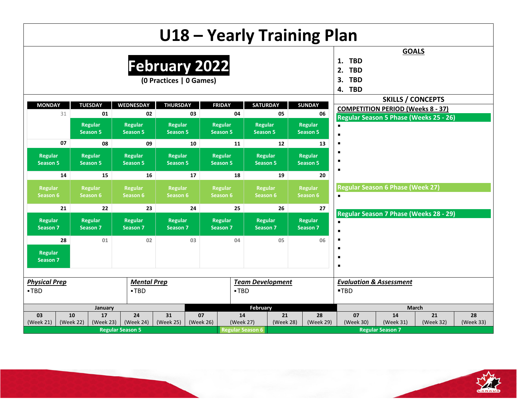|                            |                                   |                                   |                                                 |           |                            |                            |                         | U18 - Yearly Training Plan        |                                                                    |                                          |                                        |           |
|----------------------------|-----------------------------------|-----------------------------------|-------------------------------------------------|-----------|----------------------------|----------------------------|-------------------------|-----------------------------------|--------------------------------------------------------------------|------------------------------------------|----------------------------------------|-----------|
|                            |                                   |                                   | <b>February 2022</b><br>(0 Practices   0 Games) |           |                            |                            |                         |                                   | <b>TBD</b><br>1.<br><b>TBD</b><br>2.<br><b>TBD</b><br>3.<br>4. TBD | <b>GOALS</b>                             |                                        |           |
| <b>MONDAY</b>              | <b>TUESDAY</b>                    | <b>WEDNESDAY</b>                  | <b>THURSDAY</b>                                 |           | <b>FRIDAY</b>              | <b>SATURDAY</b>            |                         | <b>SUNDAY</b>                     |                                                                    | <b>SKILLS / CONCEPTS</b>                 |                                        |           |
| 31                         | 01                                | 02                                |                                                 | 03        | 04                         |                            | 05                      | 06                                |                                                                    | <b>COMPETITION PERIOD (Weeks 8 - 37)</b> |                                        |           |
|                            | <b>Regular</b><br><b>Season 5</b> | <b>Regular</b><br><b>Season 5</b> | <b>Regular</b><br><b>Season 5</b>               |           | Regular<br><b>Season 5</b> | Regular<br><b>Season 5</b> |                         | Regular<br><b>Season 5</b>        | $\blacksquare$                                                     |                                          | Regular Season 5 Phase (Weeks 25 - 26) |           |
| 07                         | 08                                | 09                                |                                                 | 10        | 11                         |                            | 12                      | 13                                |                                                                    |                                          |                                        |           |
| Regular<br><b>Season 5</b> | Regular<br><b>Season 5</b>        | Regular<br><b>Season 5</b>        | Regular<br><b>Season 5</b>                      |           | Regular<br><b>Season 5</b> | Regular<br><b>Season 5</b> |                         | <b>Regular</b><br><b>Season 5</b> |                                                                    |                                          |                                        |           |
| 14                         | 15                                | 16                                |                                                 | 17        | 18                         |                            | 19                      | 20                                |                                                                    |                                          |                                        |           |
| Regular<br>Season 6        | <b>Regular</b><br>Season 6        | Regular<br>Season 6               | Regular<br>Season 6                             |           | <b>Regular</b><br>Season 6 | Regular<br>Season 6        |                         | <b>Regular</b><br>Season 6        | $\blacksquare$                                                     | <b>Regular Season 6 Phase (Week 27)</b>  |                                        |           |
| 21                         | 22                                | 23                                |                                                 | 24        | 25                         |                            | 26                      | 27                                |                                                                    |                                          | Regular Season 7 Phase (Weeks 28 - 29) |           |
| Regular<br>Season 7        | Regular<br>Season 7               | Regular<br>Season 7               | Regular<br><b>Season 7</b>                      |           | Regular<br>Season 7        | Regular<br>Season 7        |                         | Regular<br>Season 7               | $\blacksquare$<br>$\blacksquare$                                   |                                          |                                        |           |
| 28<br>Regular<br>Season 7  | 01                                | 02                                |                                                 | 03        | 04                         |                            | 05                      | 06                                | п<br>$\blacksquare$                                                |                                          |                                        |           |
| <b>Physical Prep</b>       |                                   | <b>Mental Prep</b>                |                                                 |           |                            |                            | <b>Team Development</b> |                                   | <b>Evaluation &amp; Assessment</b>                                 |                                          |                                        |           |
| $-TBD$                     |                                   | $-TBD$                            |                                                 |           | $-TBD$                     |                            |                         |                                   | $-TBD$                                                             |                                          |                                        |           |
|                            | January                           |                                   |                                                 |           |                            | <b>February</b>            |                         |                                   |                                                                    |                                          | <b>March</b>                           |           |
| 03                         | 10<br>17                          | 24                                | 31                                              | 07        |                            | 14                         | 21                      | 28                                | 07                                                                 | 14                                       | 21                                     | 28        |
| (Week 21)                  | (Week 22)<br>(Week 23)            | (Week 24)                         | (Week 25)                                       | (Week 26) |                            | (Week 27)                  | (Week 28)               | (Week 29)                         | (Week 30)                                                          | (Week 31)                                | (Week 32)                              | (Week 33) |
|                            |                                   | <b>Regular Season 5</b>           |                                                 |           |                            | <b>Regular Season 6</b>    |                         |                                   |                                                                    | <b>Regular Season 7</b>                  |                                        |           |

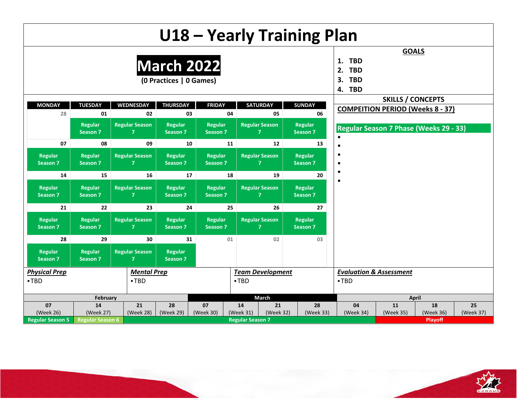|                            |                                                                                              |                                         |                                              |                                       |    |                         |                                         | U18 - Yearly Training Plan        |                                                                    |                          |                                               |           |
|----------------------------|----------------------------------------------------------------------------------------------|-----------------------------------------|----------------------------------------------|---------------------------------------|----|-------------------------|-----------------------------------------|-----------------------------------|--------------------------------------------------------------------|--------------------------|-----------------------------------------------|-----------|
|                            |                                                                                              |                                         | <b>March 2022</b><br>(0 Practices   0 Games) |                                       |    |                         |                                         |                                   | <b>TBD</b><br>1.<br><b>TBD</b><br>2.<br><b>TBD</b><br>3.<br>4. TBD | <b>GOALS</b>             |                                               |           |
|                            |                                                                                              |                                         |                                              |                                       |    |                         |                                         |                                   |                                                                    | <b>SKILLS / CONCEPTS</b> |                                               |           |
| <b>MONDAY</b><br>28        | <b>TUESDAY</b><br>01                                                                         | <b>WEDNESDAY</b><br>02                  | <b>THURSDAY</b><br>03                        | <b>FRIDAY</b>                         | 04 |                         | <b>SATURDAY</b><br>05                   | <b>SUNDAY</b><br>06               |                                                                    |                          | <b>COMPEITION PERIOD (Weeks 8 - 37)</b>       |           |
|                            | <b>Regular</b><br><b>Season 7</b>                                                            | <b>Regular Season</b><br>7              | <b>Regular</b><br>Season 7                   | <b>Regular</b><br><b>Season 7</b>     |    |                         | <b>Regular Season</b><br>7.             | <b>Regular</b><br><b>Season 7</b> | $\blacksquare$                                                     |                          | <b>Regular Season 7 Phase (Weeks 29 - 33)</b> |           |
| 07                         | 08                                                                                           | 09                                      | 10                                           |                                       | 11 |                         | 12                                      | 13                                | $\blacksquare$                                                     |                          |                                               |           |
| Regular<br><b>Season 7</b> | <b>Regular</b><br>Season 7                                                                   | <b>Regular Season</b><br>7              | <b>Regular</b><br>Season 7                   | <b>Regular</b><br><b>Season 7</b>     |    |                         | <b>Regular Season</b><br>$\overline{7}$ | <b>Regular</b><br><b>Season 7</b> | п<br>$\blacksquare$                                                |                          |                                               |           |
| 14                         | 15                                                                                           | 16                                      | 17                                           |                                       | 18 |                         | 19                                      | 20                                | $\blacksquare$                                                     |                          |                                               |           |
| Regular<br>Season 7        | <b>Regular</b><br>Season 7                                                                   | <b>Regular Season</b><br>7              | <b>Regular</b><br>Season 7                   | <b>Regular</b><br>Season <sub>7</sub> |    |                         | <b>Regular Season</b><br>7              | <b>Regular</b><br><b>Season 7</b> | $\blacksquare$                                                     |                          |                                               |           |
| 21                         | 22                                                                                           | 23                                      | 24                                           |                                       | 25 |                         | 26                                      | 27                                |                                                                    |                          |                                               |           |
| Regular<br>Season 7        | <b>Regular</b><br>Season 7                                                                   | <b>Regular Season</b><br>$\overline{7}$ | <b>Regular</b><br>Season 7                   | <b>Regular</b><br>Season 7            |    |                         | <b>Regular Season</b><br>$\overline{7}$ | <b>Regular</b><br>Season 7        |                                                                    |                          |                                               |           |
| 28                         | 29                                                                                           | 30                                      | 31                                           |                                       | 01 |                         | 02                                      | 03                                |                                                                    |                          |                                               |           |
| Regular<br><b>Season 7</b> | <b>Regular Season</b><br><b>Regular</b><br>Regular<br>Season 7<br>Season 7<br>$\overline{7}$ |                                         |                                              |                                       |    |                         |                                         |                                   |                                                                    |                          |                                               |           |
| <b>Physical Prep</b>       |                                                                                              | <b>Mental Prep</b>                      |                                              |                                       |    |                         | <b>Team Development</b>                 |                                   | <b>Evaluation &amp; Assessment</b>                                 |                          |                                               |           |
| $-TBD$                     |                                                                                              | $-TBD$                                  |                                              |                                       |    | $-TBD$                  |                                         |                                   | $-TBD$                                                             |                          |                                               |           |
|                            | February                                                                                     |                                         |                                              |                                       |    |                         | March                                   |                                   |                                                                    |                          | April                                         |           |
| 07                         | 14                                                                                           | 21                                      | 28                                           | 07                                    |    | 14                      | 21                                      | 28                                | 04                                                                 | 11                       | 18                                            | 25        |
| (Week 26)                  | (Week 27)                                                                                    | (Week 28)                               | (Week 29)                                    | (Week 30)                             |    | (Week 31)               | (Week 32)                               | (Week 33)                         | (Week 34)                                                          | (Week 35)                | (Week 36)                                     | (Week 37) |
| <b>Regular Season 5</b>    | <b>Regular Season 6</b>                                                                      |                                         |                                              |                                       |    | <b>Regular Season 7</b> |                                         |                                   |                                                                    |                          | <b>Playoff</b>                                |           |

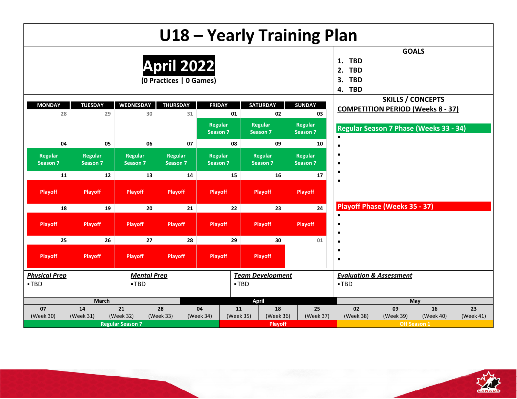|                            |                                   |                            |                                              |                 |                                   |                 |                                   | U18 - Yearly Training Plan |                                                                    |                                      |                                          |                 |
|----------------------------|-----------------------------------|----------------------------|----------------------------------------------|-----------------|-----------------------------------|-----------------|-----------------------------------|----------------------------|--------------------------------------------------------------------|--------------------------------------|------------------------------------------|-----------------|
|                            |                                   |                            | <b>April 2022</b><br>(0 Practices   0 Games) |                 |                                   |                 |                                   |                            | <b>TBD</b><br>1.<br><b>TBD</b><br>2.<br><b>TBD</b><br>3.<br>4. TBD | <b>GOALS</b>                         |                                          |                 |
|                            |                                   |                            |                                              |                 |                                   |                 |                                   |                            |                                                                    |                                      | <b>SKILLS / CONCEPTS</b>                 |                 |
| <b>MONDAY</b>              | <b>TUESDAY</b><br>28              | <b>WEDNESDAY</b><br>29     | <b>THURSDAY</b><br>30                        | 31              | <b>FRIDAY</b>                     | 01              | <b>SATURDAY</b><br>02             | <b>SUNDAY</b><br>03        |                                                                    |                                      | <b>COMPETITION PERIOD (Weeks 8 - 37)</b> |                 |
|                            |                                   |                            |                                              |                 | <b>Regular</b><br><b>Season 7</b> |                 | <b>Regular</b><br><b>Season 7</b> | Regular<br>Season 7        | $\blacksquare$                                                     |                                      | Regular Season 7 Phase (Weeks 33 - 34)   |                 |
|                            | 04                                | 05                         | 06                                           | 07              |                                   | 08              | 09                                | 10                         | п                                                                  |                                      |                                          |                 |
| <b>Regular</b><br>Season 7 | <b>Regular</b><br><b>Season 7</b> | <b>Regular</b><br>Season 7 | Regular<br>Season 7                          |                 | <b>Regular</b><br><b>Season 7</b> |                 | <b>Regular</b><br><b>Season 7</b> | <b>Regular</b><br>Season 7 | $\blacksquare$<br>٠                                                |                                      |                                          |                 |
|                            | 11                                | 12                         | 13                                           | 14              |                                   | 15              | 16                                | 17                         | $\blacksquare$                                                     |                                      |                                          |                 |
| <b>Playoff</b>             | <b>Playoff</b>                    | <b>Playoff</b>             | <b>Playoff</b>                               |                 | <b>Playoff</b>                    |                 | <b>Playoff</b>                    | <b>Playoff</b>             | $\blacksquare$                                                     |                                      |                                          |                 |
|                            | 18                                | 19                         | 20                                           | 21              |                                   | 22              | 23                                | 24                         |                                                                    | <b>Playoff Phase (Weeks 35 - 37)</b> |                                          |                 |
| <b>Playoff</b>             | <b>Playoff</b>                    | <b>Playoff</b>             | <b>Playoff</b>                               |                 | <b>Playoff</b>                    |                 | <b>Playoff</b>                    | Playoff                    | $\blacksquare$<br>$\blacksquare$<br>٠                              |                                      |                                          |                 |
|                            | 25                                | 26                         | 27                                           | 28              |                                   | 29              | 30                                | 01                         | ٠                                                                  |                                      |                                          |                 |
| <b>Playoff</b>             | <b>Playoff</b>                    | <b>Playoff</b>             | <b>Playoff</b>                               |                 | <b>Playoff</b>                    |                 | <b>Playoff</b>                    |                            | $\blacksquare$<br>٠                                                |                                      |                                          |                 |
| <b>Physical Prep</b>       |                                   |                            | <b>Mental Prep</b>                           |                 |                                   |                 | <b>Team Development</b>           |                            |                                                                    | <b>Evaluation &amp; Assessment</b>   |                                          |                 |
| $-TBD$                     |                                   |                            | $-TBD$                                       |                 |                                   | $-TBD$          |                                   |                            | $-TBD$                                                             |                                      |                                          |                 |
|                            |                                   | March                      |                                              |                 |                                   |                 | <b>April</b>                      |                            |                                                                    |                                      | May                                      |                 |
| 07<br>(Week 30)            | 14<br>(Week 31)                   | 21<br>(Week 32)            | 28<br>(Week 33)                              | 04<br>(Week 34) |                                   | 11<br>(Week 35) | 18<br>(Week 36)                   | 25<br>(Week 37)            | 02<br>(Week 38)                                                    | 09<br>(Week 39)                      | 16<br>(Week 40)                          | 23<br>(Week 41) |
|                            |                                   | <b>Regular Season 7</b>    |                                              |                 |                                   |                 | <b>Playoff</b>                    |                            |                                                                    |                                      | Off Season 1                             |                 |

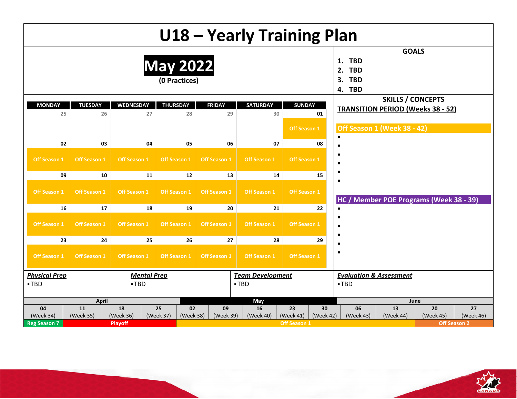|                      |                                                                                            |                |                        |                 |               |                     | U18 - Yearly Training Plan |                     |                |                                                                    |                          |                                           |              |
|----------------------|--------------------------------------------------------------------------------------------|----------------|------------------------|-----------------|---------------|---------------------|----------------------------|---------------------|----------------|--------------------------------------------------------------------|--------------------------|-------------------------------------------|--------------|
|                      |                                                                                            |                |                        | <b>May 2022</b> | (0 Practices) |                     |                            |                     |                | <b>TBD</b><br>1.<br><b>TBD</b><br>2.<br><b>TBD</b><br>3.<br>4. TBD | <b>GOALS</b>             |                                           |              |
|                      |                                                                                            |                |                        |                 |               |                     |                            |                     |                |                                                                    | <b>SKILLS / CONCEPTS</b> |                                           |              |
| <b>MONDAY</b><br>25  | <b>TUESDAY</b>                                                                             | 26             | <b>WEDNESDAY</b><br>27 | <b>THURSDAY</b> | 28            | <b>FRIDAY</b><br>29 | <b>SATURDAY</b>            | <b>SUNDAY</b><br>30 | 01             |                                                                    |                          | <b>TRANSITION PERIOD (Weeks 38 - 52)</b>  |              |
|                      |                                                                                            |                |                        |                 |               |                     |                            | Off Season 1        |                | Off Season 1 (Week 38 - 42)<br>$\blacksquare$                      |                          |                                           |              |
| 02                   |                                                                                            | 03             | 04                     |                 | 05            | 06                  |                            | 07                  | 08             | п                                                                  |                          |                                           |              |
| Off Season 1         | Off Season 1                                                                               |                | <b>Off Season 1</b>    | Off Season 1    |               | Off Season 1        | Off Season 1               | Off Season 1        |                | п<br>п                                                             |                          |                                           |              |
| 09                   |                                                                                            | 10             | 11                     |                 | 12            | 13                  | 14                         | 15                  | $\blacksquare$ |                                                                    |                          |                                           |              |
| Off Season 1         | <b>Off Season 1</b>                                                                        |                | <b>Off Season 1</b>    | Off Season 1    |               | <b>Off Season 1</b> | <b>Off Season 1</b>        | Off Season 1        |                | п<br>HC/                                                           |                          | <b>Member POE Programs (Week 38 - 39)</b> |              |
| 16                   |                                                                                            | 17             | 18                     |                 | 19            | 20                  |                            | 21                  | 22             | $\blacksquare$                                                     |                          |                                           |              |
| <b>Off Season 1</b>  | Off Season 1                                                                               |                | <b>Off Season 1</b>    | Off Season 1    |               | Off Season 1        | <b>Off Season 1</b>        | Off Season 1        |                | $\blacksquare$<br>$\blacksquare$<br>٠                              |                          |                                           |              |
| 23                   |                                                                                            | 24             | 25                     |                 | 26            | 27                  |                            | 28                  | 29             | $\blacksquare$                                                     |                          |                                           |              |
| Off Season 1         | <b>Off Season 1</b>                                                                        |                | <b>Off Season 1</b>    | Off Season 1    |               | Off Season 1        | Off Season 1               | Off Season 1        |                | $\blacksquare$                                                     |                          |                                           |              |
| <b>Physical Prep</b> |                                                                                            |                | <b>Mental Prep</b>     |                 |               |                     | <b>Team Development</b>    |                     |                | <b>Evaluation &amp; Assessment</b>                                 |                          |                                           |              |
| $-TBD$               |                                                                                            |                | $-TBD$                 |                 |               |                     | $-TBD$                     |                     |                | $-TBD$                                                             |                          |                                           |              |
|                      | April                                                                                      |                |                        |                 |               |                     | May                        |                     | 30             |                                                                    |                          | June                                      |              |
| 04                   | 11<br>18<br>25<br>02<br>16<br>23<br>09<br>(Week 36)<br>(Week 37)<br>(Week 38)<br>(Week 39) |                |                        |                 |               |                     |                            |                     |                | 06                                                                 | 13                       | 20                                        | 27           |
| (Week 34)            | (Week 35)                                                                                  |                |                        |                 |               |                     | (Week 40)                  | (Week 41)           | (Week 42)      | (Week 43)                                                          | (Week 44)                | (Week 45)                                 | (Week 46)    |
| <b>Reg Season 7</b>  |                                                                                            | <b>Playoff</b> |                        |                 |               |                     |                            | <b>Off Season 1</b> |                |                                                                    |                          |                                           | Off Season 2 |

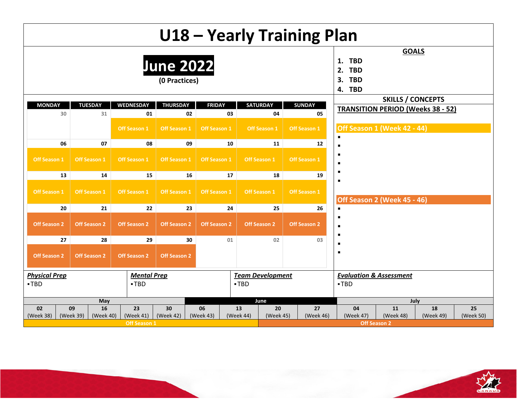|                      |                        |                        | U18 - Yearly Training Plan        |                     |                                               |                         |  |                     |                                                                    |                                          |           |           |
|----------------------|------------------------|------------------------|-----------------------------------|---------------------|-----------------------------------------------|-------------------------|--|---------------------|--------------------------------------------------------------------|------------------------------------------|-----------|-----------|
|                      |                        |                        | <b>June 2022</b><br>(0 Practices) |                     |                                               |                         |  |                     | <b>TBD</b><br>1.<br><b>TBD</b><br>2.<br><b>TBD</b><br>3.<br>4. TBD | <b>GOALS</b>                             |           |           |
|                      |                        |                        |                                   |                     |                                               |                         |  |                     |                                                                    | <b>SKILLS / CONCEPTS</b>                 |           |           |
| <b>MONDAY</b><br>30  | <b>TUESDAY</b><br>31   | <b>WEDNESDAY</b><br>01 | <b>THURSDAY</b><br>02             | <b>FRIDAY</b>       | 03                                            | <b>SATURDAY</b><br>04   |  | <b>SUNDAY</b><br>05 |                                                                    | <b>TRANSITION PERIOD (Weeks 38 - 52)</b> |           |           |
|                      |                        | Off Season 1           | Off Season 1                      | Off Season 1        | Off Season 1 (Week 42 - 44)<br>$\blacksquare$ |                         |  |                     |                                                                    |                                          |           |           |
| 06                   | 07                     | 08                     | 09                                |                     | 10                                            | 11                      |  | 12                  | п                                                                  |                                          |           |           |
| Off Season 1         | Off Season 1           | <b>Off Season 1</b>    | Off Season 1                      | Off Season 1        | п<br>$\blacksquare$<br>$\blacksquare$         |                         |  |                     |                                                                    |                                          |           |           |
| 13                   | 14                     | 15                     | 16                                |                     | 17                                            | 18                      |  | 19                  | $\blacksquare$                                                     |                                          |           |           |
| Off Season 1         | Off Season 1           | Off Season 1           | Off Season 1                      | Off Season 1        | Off Season 2 (Week 45 - 46)                   |                         |  |                     |                                                                    |                                          |           |           |
| 20                   | 21                     | 22                     | 23                                |                     | 24                                            | 25                      |  | 26                  | $\blacksquare$                                                     |                                          |           |           |
| <b>Off Season 2</b>  | <b>Off Season 2</b>    | <b>Off Season 2</b>    | <b>Off Season 2</b>               | <b>Off Season 2</b> |                                               | <b>Off Season 2</b>     |  | <b>Off Season 2</b> | ٠<br>$\blacksquare$<br>$\blacksquare$                              |                                          |           |           |
| 27                   | 28                     | 29                     | 30                                |                     | 01                                            | 02                      |  | 03                  | $\blacksquare$                                                     |                                          |           |           |
| <b>Off Season 2</b>  | <b>Off Season 2</b>    | <b>Off Season 2</b>    | <b>Off Season 2</b>               |                     |                                               |                         |  |                     | $\blacksquare$                                                     |                                          |           |           |
| <b>Physical Prep</b> |                        | <b>Mental Prep</b>     |                                   |                     |                                               | <b>Team Development</b> |  |                     | <b>Evaluation &amp; Assessment</b>                                 |                                          |           |           |
| -TBD                 |                        | -TBD                   |                                   |                     | $\blacksquare$ TBD                            |                         |  |                     | -TBD                                                               |                                          |           |           |
|                      | May                    |                        |                                   |                     |                                               | June                    |  |                     |                                                                    |                                          | July      |           |
| 02                   | 16<br>09               | 23                     | 30                                | 06                  | 13                                            | 20                      |  | 27                  | 04                                                                 | 11                                       | 18        | 25        |
| (Week 38)            | (Week 39)<br>(Week 40) | (Week 41)              | (Week 42)                         | (Week 43)           | (Week 44)                                     | (Week 45)               |  | (Week 46)           | (Week 47)                                                          | (Week 48)                                | (Week 49) | (Week 50) |
|                      |                        | <b>Off Season 1</b>    |                                   |                     |                                               |                         |  |                     |                                                                    | <b>Off Season 2</b>                      |           |           |

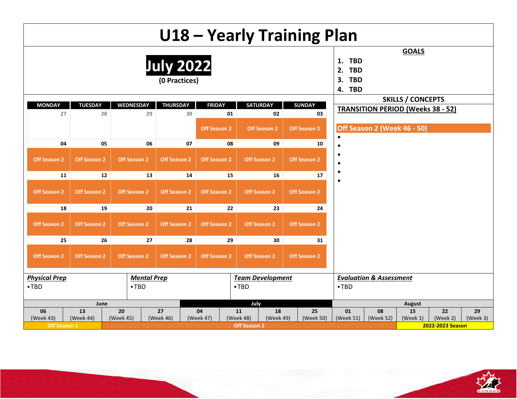|                      |                                  |                     |                                   |                     |                     |                         |                     | U18 - Yearly Training Plan  |    |                                                                    |                                    |                                          |                  |          |
|----------------------|----------------------------------|---------------------|-----------------------------------|---------------------|---------------------|-------------------------|---------------------|-----------------------------|----|--------------------------------------------------------------------|------------------------------------|------------------------------------------|------------------|----------|
|                      |                                  |                     | <b>July 2022</b><br>(0 Practices) |                     |                     |                         |                     |                             |    | <b>TBD</b><br>1.<br><b>TBD</b><br>2.<br><b>TBD</b><br>3.<br>4. TBD |                                    | <b>GOALS</b>                             |                  |          |
| <b>MONDAY</b>        | <b>TUESDAY</b>                   | <b>WEDNESDAY</b>    | <b>THURSDAY</b>                   |                     | <b>FRIDAY</b>       | <b>SATURDAY</b>         |                     | <b>SUNDAY</b>               |    |                                                                    |                                    | <b>SKILLS / CONCEPTS</b>                 |                  |          |
| 27                   | 28                               |                     | 29                                | 30                  | 01                  |                         | 02                  |                             | 03 |                                                                    |                                    | <b>TRANSITION PERIOD (Weeks 38 - 52)</b> |                  |          |
|                      |                                  |                     |                                   | <b>Off Season 2</b> | <b>Off Season 2</b> |                         | $\blacksquare$      | Off Season 2 (Week 46 - 50) |    |                                                                    |                                    |                                          |                  |          |
| 04                   | 05                               |                     | 06                                | 07                  |                     | 10                      | п                   |                             |    |                                                                    |                                    |                                          |                  |          |
| <b>Off Season 2</b>  | <b>Off Season 2</b>              | <b>Off Season 2</b> | <b>Off Season 2</b>               | <b>Off Season 2</b> | <b>Off Season 2</b> |                         | п<br>$\blacksquare$ |                             |    |                                                                    |                                    |                                          |                  |          |
| 11                   | 12                               |                     | 13                                | 14                  | 15                  |                         | 16                  |                             | 17 | $\blacksquare$                                                     |                                    |                                          |                  |          |
| <b>Off Season 2</b>  | <b>Off Season 2</b>              | <b>Off Season 2</b> | Off Season 2                      |                     | $\blacksquare$      |                         |                     |                             |    |                                                                    |                                    |                                          |                  |          |
| 18                   | 19                               |                     | 20                                | 21                  | 22                  |                         | 23                  |                             | 24 |                                                                    |                                    |                                          |                  |          |
| <b>Off Season 2</b>  | <b>Off Season 2</b>              | <b>Off Season 2</b> | <b>Off Season 2</b>               |                     | <b>Off Season 2</b> |                         | Off Season 2        | Off Season 2                |    |                                                                    |                                    |                                          |                  |          |
| 25                   | 26                               |                     | 27                                | 28                  | 29                  |                         | 30                  |                             | 31 |                                                                    |                                    |                                          |                  |          |
| <b>Off Season 2</b>  | <b>Off Season 2</b>              | <b>Off Season 2</b> | Off Season 2                      | <b>Off Season 2</b> |                     | Off Season 2            | Off Season 2        |                             |    |                                                                    |                                    |                                          |                  |          |
| <b>Physical Prep</b> |                                  |                     | <b>Mental Prep</b>                |                     |                     | <b>Team Development</b> |                     |                             |    |                                                                    | <b>Evaluation &amp; Assessment</b> |                                          |                  |          |
| $-TBD$               | $-TBD$<br>$-TBD$                 |                     |                                   |                     |                     |                         |                     |                             |    |                                                                    |                                    |                                          |                  |          |
|                      | June                             |                     |                                   |                     |                     | July                    |                     | 25                          |    | 01                                                                 |                                    | <b>August</b>                            |                  |          |
| 06                   | 13<br>20<br>27<br>11<br>18<br>04 |                     |                                   |                     |                     |                         |                     |                             |    |                                                                    | 08                                 | 15                                       | 22               | 29       |
| (Week 43)            | (Week 44)                        | (Week 45)           | (Week 46)                         | (Week 47)           |                     | (Week 48)               | (Week 49)           | (Week 50)                   |    | (Week 51)                                                          | (Week 52)                          | (Week 1)                                 | (Week 2)         | (Week 3) |
| <b>Off Season 1</b>  |                                  |                     |                                   |                     |                     | <b>Off Season 2</b>     |                     |                             |    |                                                                    |                                    |                                          | 2022-2023 Season |          |